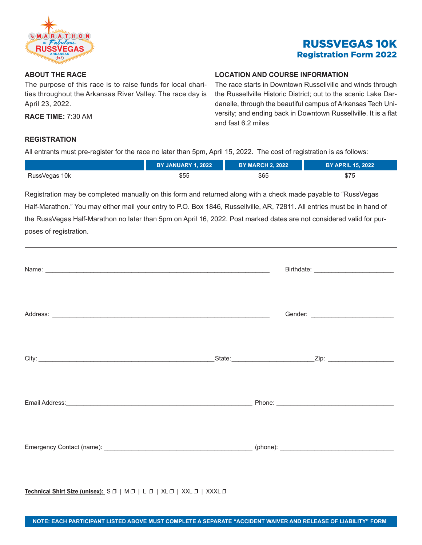

# RUSSVEGAS 10K Registration Form 2022

## **ABOUT THE RACE**

The purpose of this race is to raise funds for local charities throughout the Arkansas River Valley. The race day is April 23, 2022.

**RACE TIME:** 7:30 AM

### **LOCATION AND COURSE INFORMATION**

The race starts in Downtown Russellville and winds through the Russellville Historic District; out to the scenic Lake Dardanelle, through the beautiful campus of Arkansas Tech University; and ending back in Downtown Russellville. It is a flat and fast 6.2 miles

### **REGISTRATION**

All entrants must pre-register for the race no later than 5pm, April 15, 2022. The cost of registration is as follows:

|               | <b>BY JANUARY 1, 2022</b> | <b>BY MARCH 2, 2022</b> | BY APRIL 15, 2022 |
|---------------|---------------------------|-------------------------|-------------------|
| RussVegas 10k | \$55                      | \$65                    | \$75              |

Registration may be completed manually on this form and returned along with a check made payable to "RussVegas Half-Marathon." You may either mail your entry to P.O. Box 1846, Russellville, AR, 72811. All entries must be in hand of the RussVegas Half-Marathon no later than 5pm on April 16, 2022. Post marked dates are not considered valid for purposes of registration.

| Technical Shirt Size (unisex): S O   M O   L O   XL O   XXL O   XXXL O |  |  |
|------------------------------------------------------------------------|--|--|